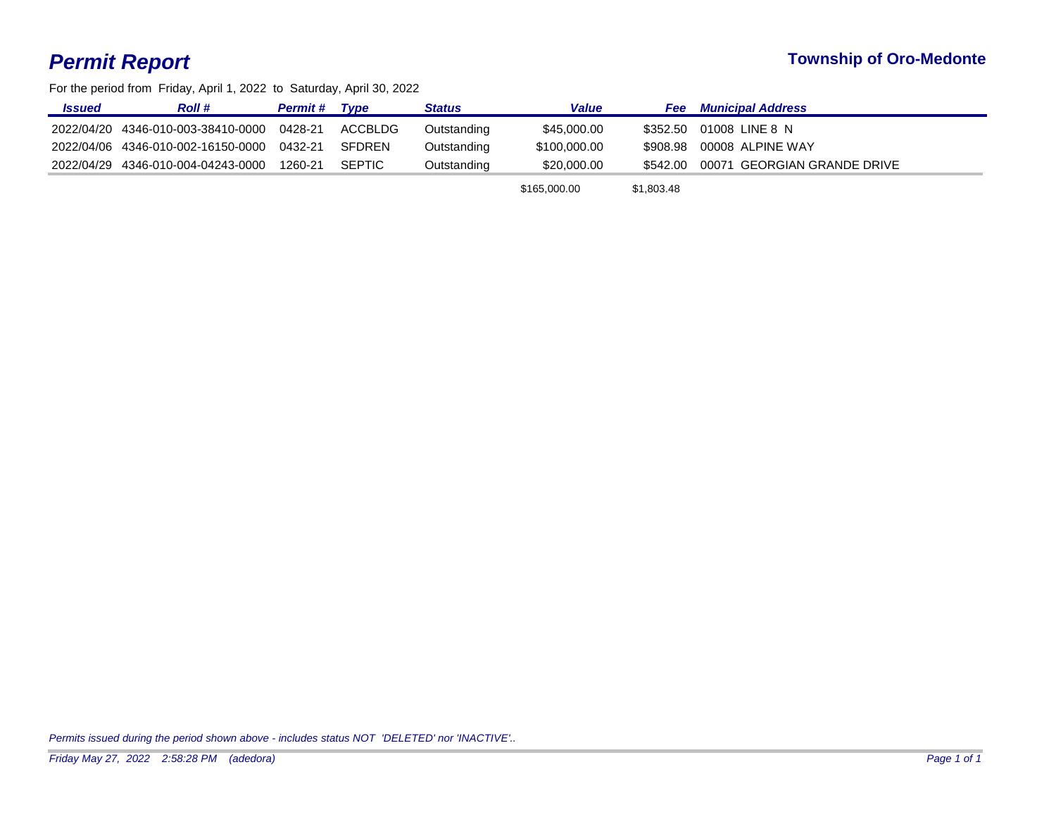## *Permit Report* **Township of Oro-Medonte**

For the period from Friday, April 1, 2022 to Saturday, April 30, 2022

| <u><b>Issued</b></u> | <b>Roll</b> #                                      | <b>Permit #</b> | Tvpe   | <b>Status</b> | <b>Value</b> | <b>Fee</b> Municipal Address         |
|----------------------|----------------------------------------------------|-----------------|--------|---------------|--------------|--------------------------------------|
|                      | 2022/04/20 4346-010-003-38410-0000 0428-21 ACCBLDG |                 |        | Outstanding   | \$45,000,00  | \$352.50 01008 LINE 8 N              |
|                      | 2022/04/06 4346-010-002-16150-0000 0432-21         |                 | SFDREN | Outstanding   | \$100,000.00 | \$908.98 00008 ALPINE WAY            |
|                      | 2022/04/29 4346-010-004-04243-0000 1260-21         |                 | SEPTIC | Outstanding   | \$20,000,00  | \$542.00 00071 GEORGIAN GRANDE DRIVE |
|                      |                                                    |                 |        |               |              |                                      |

\$165,000.00 \$1,803.48

*Permits issued during the period shown above - includes status NOT 'DELETED' nor 'INACTIVE'..*